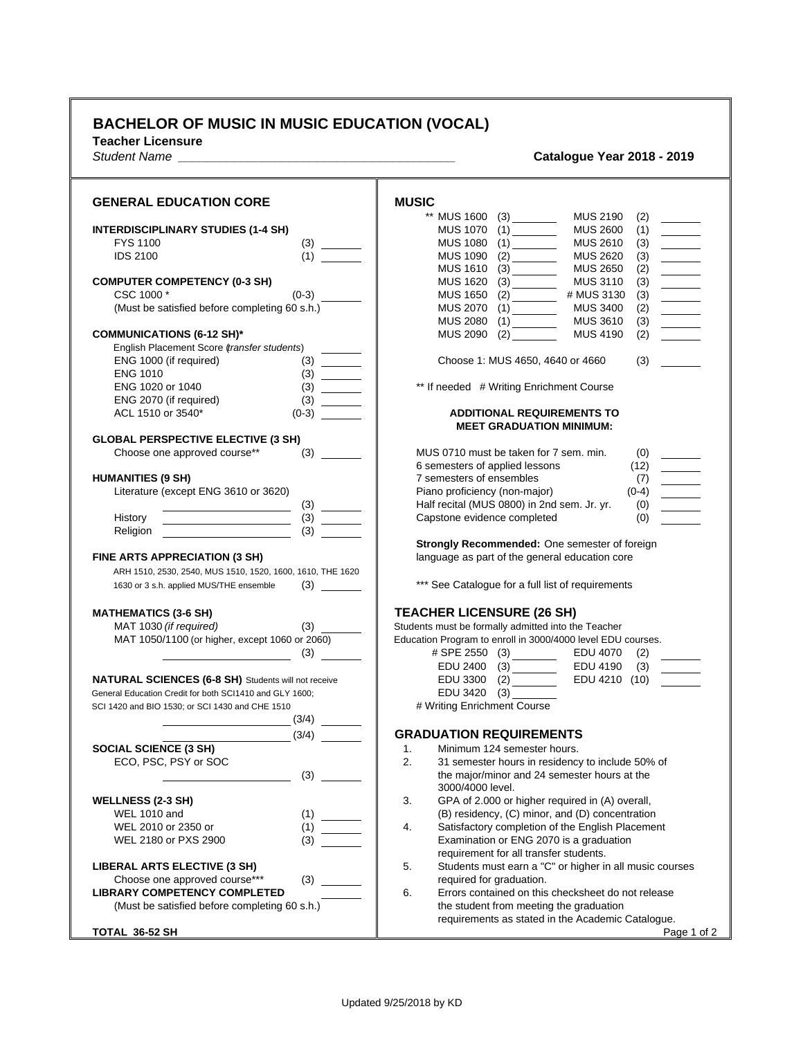## **BACHELOR OF MUSIC IN MUSIC EDUCATION (VOCAL)**

**Teacher Licensure**

## *Student Name \_\_\_\_\_\_\_\_\_\_\_\_\_\_\_\_\_\_\_\_\_\_\_\_\_\_\_\_\_\_\_\_\_\_\_\_\_\_\_\_* **Catalogue Year 2018 - 2019**

| <b>GENERAL EDUCATION CORE</b>                                                   | <b>MUSIC</b>                                                                                 |
|---------------------------------------------------------------------------------|----------------------------------------------------------------------------------------------|
|                                                                                 | <b>MUS 2190</b><br>(2)                                                                       |
| <b>INTERDISCIPLINARY STUDIES (1-4 SH)</b>                                       | MUS 1070 (1) _______<br><b>MUS 2600</b><br>(1)                                               |
| FYS 1100                                                                        | MUS 1080 (1) ________<br><b>MUS 2610</b><br>(3)<br>$\overline{\phantom{a}}$                  |
| <b>IDS 2100</b><br>(1)                                                          | MUS 1090 (2) _________<br><b>MUS 2620</b><br>(3)<br>$\overline{\phantom{a}}$                 |
|                                                                                 | <b>MUS 2650</b><br>MUS 1610 (3) _______<br>(2)<br>$\overline{\phantom{a}}$                   |
| <b>COMPUTER COMPETENCY (0-3 SH)</b>                                             | <b>MUS 1620</b><br><b>MUS 3110</b><br>(3)<br>$\overline{\phantom{a}}$                        |
| CSC 1000 *<br>$(0-3)$                                                           | MUS 1650 (2) ________<br># MUS 3130<br>(3)<br>$\frac{1}{2}$                                  |
| (Must be satisfied before completing 60 s.h.)                                   | <b>MUS 2070</b><br>(1)<br><b>MUS 3400</b><br>(2)                                             |
|                                                                                 | <b>MUS 2080</b><br><b>MUS 3610</b><br>(3)<br><b>MUS 4190</b>                                 |
| <b>COMMUNICATIONS (6-12 SH)*</b><br>English Placement Score (transfer students) | MUS 2090 (2) ________<br>(2)                                                                 |
| ENG 1000 (if required)<br>(3)                                                   | Choose 1: MUS 4650, 4640 or 4660<br>(3)                                                      |
| <b>ENG 1010</b>                                                                 |                                                                                              |
| ENG 1020 or 1040                                                                | ** If needed # Writing Enrichment Course                                                     |
| ENG 2070 (if required)                                                          |                                                                                              |
| ACL 1510 or 3540*<br>$(0-3)$                                                    | <b>ADDITIONAL REQUIREMENTS TO</b>                                                            |
|                                                                                 | <b>MEET GRADUATION MINIMUM:</b>                                                              |
| <b>GLOBAL PERSPECTIVE ELECTIVE (3 SH)</b>                                       |                                                                                              |
| Choose one approved course**                                                    | MUS 0710 must be taken for 7 sem. min.<br>(0)                                                |
|                                                                                 | 6 semesters of applied lessons<br>(12)                                                       |
| <b>HUMANITIES (9 SH)</b>                                                        | 7 semesters of ensembles                                                                     |
| Literature (except ENG 3610 or 3620)                                            | Piano proficiency (non-major)                                                                |
|                                                                                 | Half recital (MUS 0800) in 2nd sem. Jr. yr.<br>(0)<br>$\overline{\phantom{a}}$               |
| History                                                                         | Capstone evidence completed<br>(0)                                                           |
| Religion                                                                        |                                                                                              |
|                                                                                 | Strongly Recommended: One semester of foreign                                                |
| FINE ARTS APPRECIATION (3 SH)                                                   | language as part of the general education core                                               |
| ARH 1510, 2530, 2540, MUS 1510, 1520, 1600, 1610, THE 1620                      |                                                                                              |
| 1630 or 3 s.h. applied MUS/THE ensemble                                         | *** See Catalogue for a full list of requirements                                            |
|                                                                                 | <b>TEACHER LICENSURE (26 SH)</b>                                                             |
| <b>MATHEMATICS (3-6 SH)</b><br>MAT 1030 (if required)                           | Students must be formally admitted into the Teacher                                          |
| MAT 1050/1100 (or higher, except 1060 or 2060)                                  | Education Program to enroll in 3000/4000 level EDU courses.                                  |
|                                                                                 | # SPE 2550 (3)<br>EDU 4070<br>(2)                                                            |
|                                                                                 | EDU 4190<br>EDU 2400<br>(3)                                                                  |
| NATURAL SCIENCES (6-8 SH) Students will not receive                             | EDU 4210 (10) _______<br>EDU 3300 (2) _________                                              |
| General Education Credit for both SCI1410 and GLY 1600:                         | EDU 3420 (3)                                                                                 |
| SCI 1420 and BIO 1530; or SCI 1430 and CHE 1510                                 | # Writing Enrichment Course                                                                  |
| (3/4)                                                                           |                                                                                              |
| (3/4)                                                                           | <b>GRADUATION REQUIREMENTS</b>                                                               |
| <b>SOCIAL SCIENCE (3 SH)</b>                                                    | 1.<br>Minimum 124 semester hours.                                                            |
| ECO, PSC, PSY or SOC                                                            | 2.<br>31 semester hours in residency to include 50% of                                       |
| (3)                                                                             | the major/minor and 24 semester hours at the                                                 |
|                                                                                 | 3000/4000 level.                                                                             |
| <b>WELLNESS (2-3 SH)</b>                                                        | 3.<br>GPA of 2.000 or higher required in (A) overall,                                        |
| <b>WEL 1010 and</b>                                                             | (B) residency, (C) minor, and (D) concentration                                              |
| WEL 2010 or 2350 or<br>(1)                                                      | Satisfactory completion of the English Placement<br>4.                                       |
| (3)<br>WEL 2180 or PXS 2900                                                     | Examination or ENG 2070 is a graduation                                                      |
|                                                                                 | requirement for all transfer students.                                                       |
| LIBERAL ARTS ELECTIVE (3 SH)                                                    | 5.<br>Students must earn a "C" or higher in all music courses                                |
| Choose one approved course***<br>(3)                                            | required for graduation.                                                                     |
| <b>LIBRARY COMPETENCY COMPLETED</b>                                             | 6.<br>Errors contained on this checksheet do not release                                     |
| (Must be satisfied before completing 60 s.h.)                                   | the student from meeting the graduation<br>requirements as stated in the Academic Catalogue. |
| TOTAL 36-52 SH                                                                  | Page 1 of 2                                                                                  |
|                                                                                 |                                                                                              |